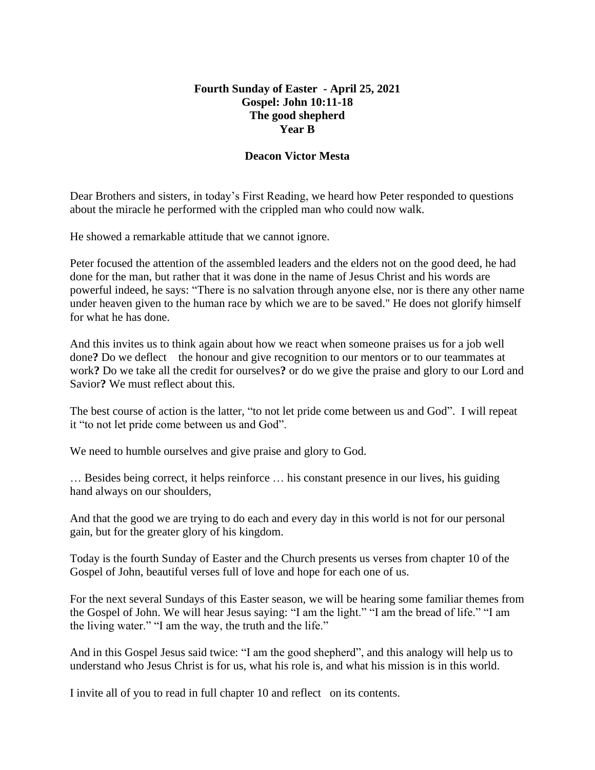## **Fourth Sunday of Easter - April 25, 2021 Gospel: John 10:11-18 The good shepherd Year B**

## **Deacon Victor Mesta**

Dear Brothers and sisters, in today's First Reading, we heard how Peter responded to questions about the miracle he performed with the crippled man who could now walk.

He showed a remarkable attitude that we cannot ignore.

Peter focused the attention of the assembled leaders and the elders not on the good deed, he had done for the man, but rather that it was done in the name of Jesus Christ and his words are powerful indeed, he says: "There is no salvation through anyone else, nor is there any other name under heaven given to the human race by which we are to be saved." He does not glorify himself for what he has done.

And this invites us to think again about how we react when someone praises us for a job well done? Do we deflect the honour and give recognition to our mentors or to our teammates at work**?** Do we take all the credit for ourselves**?** or do we give the praise and glory to our Lord and Savior**?** We must reflect about this.

The best course of action is the latter, "to not let pride come between us and God". I will repeat it "to not let pride come between us and God".

We need to humble ourselves and give praise and glory to God.

… Besides being correct, it helps reinforce … his constant presence in our lives, his guiding hand always on our shoulders,

And that the good we are trying to do each and every day in this world is not for our personal gain, but for the greater glory of his kingdom.

Today is the fourth Sunday of Easter and the Church presents us verses from chapter 10 of the Gospel of John, beautiful verses full of love and hope for each one of us.

For the next several Sundays of this Easter season, we will be hearing some familiar themes from the Gospel of John. We will hear Jesus saying: "I am the light." "I am the bread of life." "I am the living water." "I am the way, the truth and the life."

And in this Gospel Jesus said twice: "I am the good shepherd", and this analogy will help us to understand who Jesus Christ is for us, what his role is, and what his mission is in this world.

I invite all of you to read in full chapter 10 and reflect on its contents.